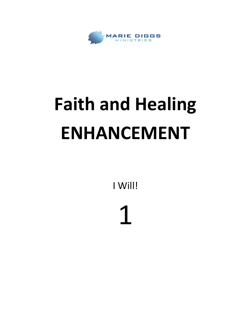

## **Faith and Healing ENHANCEMENT**

I Will!

1